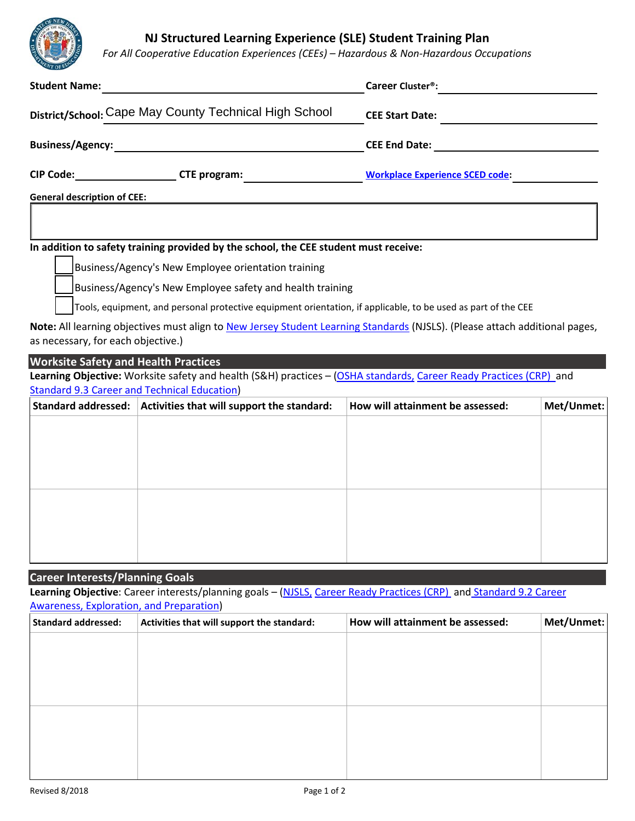**NJ Structured Learning Experience (SLE) Student Training Plan**

*For All Cooperative Education Experiences (CEEs) – Hazardous & Non-Hazardous Occupations*

| <b>ENT OF LV</b>                                       |                                                                                                                                                                           |                                                                                                                                                |            |                                                                                  |
|--------------------------------------------------------|---------------------------------------------------------------------------------------------------------------------------------------------------------------------------|------------------------------------------------------------------------------------------------------------------------------------------------|------------|----------------------------------------------------------------------------------|
| <b>Student Name:</b>                                   |                                                                                                                                                                           | Career Cluster <sup>®</sup> :                                                                                                                  |            |                                                                                  |
| District/School: Cape May County Technical High School |                                                                                                                                                                           | <b>CEE Start Date:</b><br><u> 1980 - Jan Stein Stein Stein Stein Stein Stein Stein Stein Stein Stein Stein Stein Stein Stein Stein Stein S</u> |            |                                                                                  |
|                                                        |                                                                                                                                                                           |                                                                                                                                                |            | CIP Code: ________________________CTE program: _________________________________ |
| <b>General description of CEE:</b>                     |                                                                                                                                                                           |                                                                                                                                                |            |                                                                                  |
|                                                        |                                                                                                                                                                           |                                                                                                                                                |            |                                                                                  |
|                                                        | In addition to safety training provided by the school, the CEE student must receive:                                                                                      |                                                                                                                                                |            |                                                                                  |
|                                                        | Business/Agency's New Employee orientation training                                                                                                                       |                                                                                                                                                |            |                                                                                  |
|                                                        | Business/Agency's New Employee safety and health training                                                                                                                 |                                                                                                                                                |            |                                                                                  |
|                                                        | Tools, equipment, and personal protective equipment orientation, if applicable, to be used as part of the CEE                                                             |                                                                                                                                                |            |                                                                                  |
|                                                        | Note: All learning objectives must align to New Jersey Student Learning Standards (NJSLS). (Please attach additional pages,                                               |                                                                                                                                                |            |                                                                                  |
| as necessary, for each objective.)                     |                                                                                                                                                                           |                                                                                                                                                |            |                                                                                  |
| <b>Worksite Safety and Health Practices</b>            |                                                                                                                                                                           |                                                                                                                                                |            |                                                                                  |
|                                                        | Learning Objective: Worksite safety and health (S&H) practices - (OSHA standards, Career Ready Practices (CRP) and<br><b>Standard 9.3 Career and Technical Education)</b> |                                                                                                                                                |            |                                                                                  |
|                                                        | Standard addressed: Activities that will support the standard:                                                                                                            | How will attainment be assessed:                                                                                                               | Met/Unmet: |                                                                                  |
|                                                        |                                                                                                                                                                           |                                                                                                                                                |            |                                                                                  |
|                                                        |                                                                                                                                                                           |                                                                                                                                                |            |                                                                                  |
|                                                        |                                                                                                                                                                           |                                                                                                                                                |            |                                                                                  |
|                                                        |                                                                                                                                                                           |                                                                                                                                                |            |                                                                                  |
|                                                        |                                                                                                                                                                           |                                                                                                                                                |            |                                                                                  |
|                                                        |                                                                                                                                                                           |                                                                                                                                                |            |                                                                                  |
|                                                        |                                                                                                                                                                           |                                                                                                                                                |            |                                                                                  |
|                                                        |                                                                                                                                                                           |                                                                                                                                                |            |                                                                                  |
|                                                        |                                                                                                                                                                           |                                                                                                                                                |            |                                                                                  |
| <b>Career Interests/Planning Goals</b>                 | Learning Objective: Career interests/planning goals - (NJSLS, Career Ready Practices (CRP) and Standard 9.2 Career                                                        |                                                                                                                                                |            |                                                                                  |
| Awareness, Exploration, and Preparation)               |                                                                                                                                                                           |                                                                                                                                                |            |                                                                                  |
| <b>Standard addressed:</b>                             | Activities that will support the standard:                                                                                                                                | How will attainment be assessed:                                                                                                               | Met/Unmet: |                                                                                  |
|                                                        |                                                                                                                                                                           |                                                                                                                                                |            |                                                                                  |
|                                                        |                                                                                                                                                                           |                                                                                                                                                |            |                                                                                  |
|                                                        |                                                                                                                                                                           |                                                                                                                                                |            |                                                                                  |
|                                                        |                                                                                                                                                                           |                                                                                                                                                |            |                                                                                  |
|                                                        |                                                                                                                                                                           |                                                                                                                                                |            |                                                                                  |
|                                                        |                                                                                                                                                                           |                                                                                                                                                |            |                                                                                  |
|                                                        |                                                                                                                                                                           |                                                                                                                                                |            |                                                                                  |